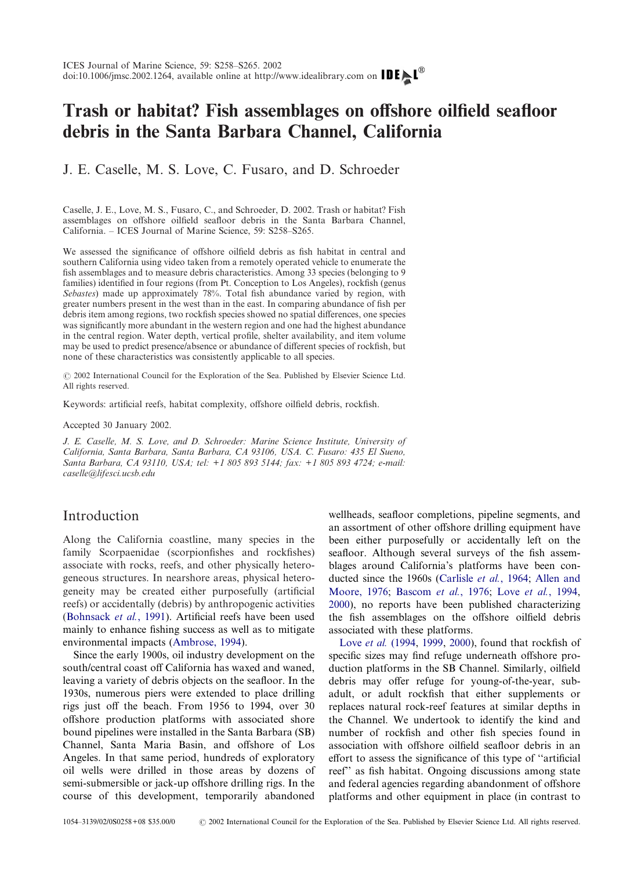# **Trash or habitat? Fish assemblages on offshore oilfield seafloor debris in the Santa Barbara Channel, California**

J. E. Caselle, M. S. Love, C. Fusaro, and D. Schroeder

Caselle, J. E., Love, M. S., Fusaro, C., and Schroeder, D. 2002. Trash or habitat? Fish assemblages on offshore oilfield seafloor debris in the Santa Barbara Channel, California. – ICES Journal of Marine Science, 59: S258–S265.

We assessed the significance of offshore oilfield debris as fish habitat in central and southern California using video taken from a remotely operated vehicle to enumerate the fish assemblages and to measure debris characteristics. Among 33 species (belonging to 9 families) identified in four regions (from Pt. Conception to Los Angeles), rockfish (genus *Sebastes*) made up approximately 78%. Total fish abundance varied by region, with greater numbers present in the west than in the east. In comparing abundance of fish per debris item among regions, two rockfish species showed no spatial differences, one species was significantly more abundant in the western region and one had the highest abundance in the central region. Water depth, vertical profile, shelter availability, and item volume may be used to predict presence/absence or abundance of different species of rockfish, but none of these characteristics was consistently applicable to all species.

 2002 International Council for the Exploration of the Sea. Published by Elsevier Science Ltd. All rights reserved.

Keywords: artificial reefs, habitat complexity, offshore oilfield debris, rockfish.

Accepted 30 January 2002.

*J. E. Caselle, M. S. Love, and D. Schroeder: Marine Science Institute, University of California, Santa Barbara, Santa Barbara, CA 93106, USA. C. Fusaro: 435 El Sueno, Santa Barbara, CA 93110, USA; tel: +1 805 893 5144; fax: +1 805 893 4724; e-mail: caselle@lifesci.ucsb.edu*

### Introduction

Along the California coastline, many species in the family Scorpaenidae (scorpionfishes and rockfishes) associate with rocks, reefs, and other physically heterogeneous structures. In nearshore areas, physical heterogeneity may be created either purposefully (artificial reefs) or accidentally (debris) by anthropogenic activities [\(Bohnsack](#page-6-0) *et al.*, 1991). Artificial reefs have been used mainly to enhance fishing success as well as to mitigate environmental impacts [\(Ambrose, 1994\)](#page-6-1).

Since the early 1900s, oil industry development on the south/central coast off California has waxed and waned, leaving a variety of debris objects on the seafloor. In the 1930s, numerous piers were extended to place drilling rigs just off the beach. From 1956 to 1994, over 30 offshore production platforms with associated shore bound pipelines were installed in the Santa Barbara (SB) Channel, Santa Maria Basin, and offshore of Los Angeles. In that same period, hundreds of exploratory oil wells were drilled in those areas by dozens of semi-submersible or jack-up offshore drilling rigs. In the course of this development, temporarily abandoned

wellheads, seafloor completions, pipeline segments, and an assortment of other offshore drilling equipment have been either purposefully or accidentally left on the seafloor. Although several surveys of the fish assemblages around California's platforms have been conducted since the 1960s [\(Carlisle](#page-6-2) *et al.*, 1964; [Allen and](#page-6-3) [Moore, 1976;](#page-6-3) [Bascom](#page-6-4) *et al.*, 1976; Love *et al.*[, 1994,](#page-7-0) [2000\)](#page-7-1), no reports have been published characterizing the fish assemblages on the offshore oilfield debris associated with these platforms.

Love *et al.* [\(1994,](#page-7-0) [1999,](#page-7-2) [2000\)](#page-7-1), found that rockfish of specific sizes may find refuge underneath offshore production platforms in the SB Channel. Similarly, oilfield debris may offer refuge for young-of-the-year, subadult, or adult rockfish that either supplements or replaces natural rock-reef features at similar depths in the Channel. We undertook to identify the kind and number of rockfish and other fish species found in association with offshore oilfield seafloor debris in an effort to assess the significance of this type of ''artificial reef'' as fish habitat. Ongoing discussions among state and federal agencies regarding abandonment of offshore platforms and other equipment in place (in contrast to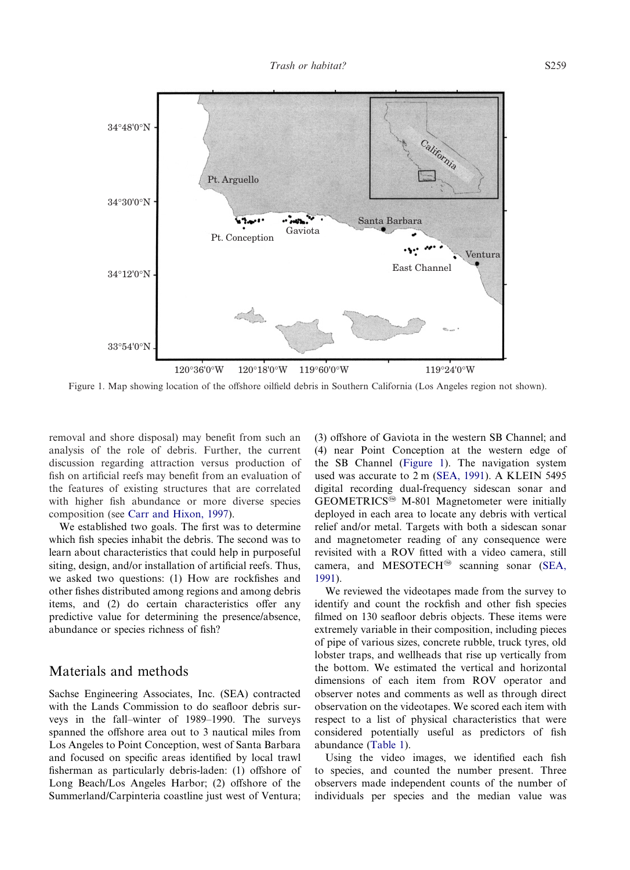<span id="page-1-0"></span>

Figure 1. Map showing location of the offshore oilfield debris in Southern California (Los Angeles region not shown).

removal and shore disposal) may benefit from such an analysis of the role of debris. Further, the current discussion regarding attraction versus production of fish on artificial reefs may benefit from an evaluation of the features of existing structures that are correlated with higher fish abundance or more diverse species composition (see [Carr and Hixon, 1997\)](#page-6-5).

We established two goals. The first was to determine which fish species inhabit the debris. The second was to learn about characteristics that could help in purposeful siting, design, and/or installation of artificial reefs. Thus, we asked two questions: (1) How are rockfishes and other fishes distributed among regions and among debris items, and (2) do certain characteristics offer any predictive value for determining the presence/absence, abundance or species richness of fish?

### Materials and methods

Sachse Engineering Associates, Inc. (SEA) contracted with the Lands Commission to do seafloor debris surveys in the fall–winter of 1989–1990. The surveys spanned the offshore area out to 3 nautical miles from Los Angeles to Point Conception, west of Santa Barbara and focused on specific areas identified by local trawl fisherman as particularly debris-laden: (1) offshore of Long Beach/Los Angeles Harbor; (2) offshore of the Summerland/Carpinteria coastline just west of Ventura;

(3) offshore of Gaviota in the western SB Channel; and (4) near Point Conception at the western edge of the SB Channel [\(Figure 1\)](#page-1-0). The navigation system used was accurate to 2 m [\(SEA, 1991\)](#page-7-3). A KLEIN 5495 digital recording dual-frequency sidescan sonar and GEOMETRICS<sup>®</sup> M-801 Magnetometer were initially deployed in each area to locate any debris with vertical relief and/or metal. Targets with both a sidescan sonar and magnetometer reading of any consequence were revisited with a ROV fitted with a video camera, still camera, and MESOTECH<sup>®</sup> scanning sonar [\(SEA,](#page-7-3) [1991\)](#page-7-3).

We reviewed the videotapes made from the survey to identify and count the rockfish and other fish species filmed on 130 seafloor debris objects. These items were extremely variable in their composition, including pieces of pipe of various sizes, concrete rubble, truck tyres, old lobster traps, and wellheads that rise up vertically from the bottom. We estimated the vertical and horizontal dimensions of each item from ROV operator and observer notes and comments as well as through direct observation on the videotapes. We scored each item with respect to a list of physical characteristics that were considered potentially useful as predictors of fish abundance [\(Table 1\)](#page-2-0).

Using the video images, we identified each fish to species, and counted the number present. Three observers made independent counts of the number of individuals per species and the median value was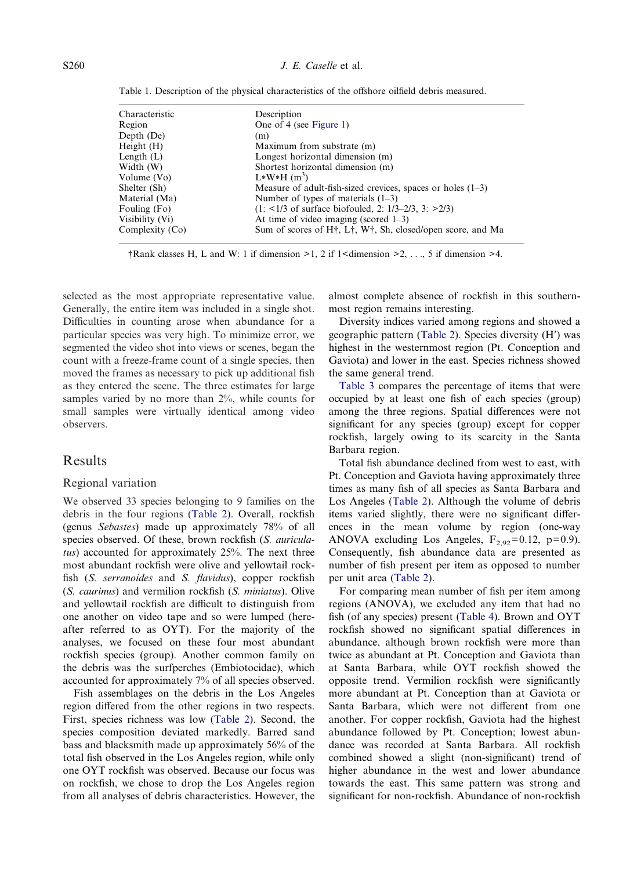<span id="page-2-0"></span>Table 1. Description of the physical characteristics of the offshore oilfield debris measured.

| Characteristic<br>Region<br>Depth (De) | Description<br>One of 4 (see Figure 1)<br>(m)                                                                                                              |
|----------------------------------------|------------------------------------------------------------------------------------------------------------------------------------------------------------|
| Height $(H)$                           | Maximum from substrate (m)                                                                                                                                 |
| Length $(L)$                           | Longest horizontal dimension (m)                                                                                                                           |
| Width (W)                              | Shortest horizontal dimension (m)                                                                                                                          |
| Volume $(V0)$                          | $L*W*H(m^3)$                                                                                                                                               |
| Shelter (Sh)                           | Measure of adult-fish-sized crevices, spaces or holes $(1-3)$                                                                                              |
| Material (Ma)                          | Number of types of materials $(1-3)$                                                                                                                       |
| Fouling (Fo)                           | $(1: \le 1/3$ of surface biofouled, 2: $1/3-2/3$ , 3: $>2/3$ )                                                                                             |
| Visibility (Vi)                        | At time of video imaging (scored $1-3$ )                                                                                                                   |
| Complexity (Co)                        | Sum of scores of H <sup><math>\dagger</math></sup> , L <sup><math>\dagger</math></sup> , W <sup><math>\dagger</math></sup> , Sh, closed/open score, and Ma |

 $\frac{1}{2}$  †Rank classes H, L and W: 1 if dimension >1, 2 if 1 < dimension >2, ..., 5 if dimension >4.

selected as the most appropriate representative value. Generally, the entire item was included in a single shot. Difficulties in counting arose when abundance for a particular species was very high. To minimize error, we segmented the video shot into views or scenes, began the count with a freeze-frame count of a single species, then moved the frames as necessary to pick up additional fish as they entered the scene. The three estimates for large samples varied by no more than 2%, while counts for small samples were virtually identical among video observers.

### Results

#### Regional variation

We observed 33 species belonging to 9 families on the debris in the four regions [\(Table 2\)](#page-3-0). Overall, rockfish (genus *Sebastes*) made up approximately 78% of all species observed. Of these, brown rockfish (*S. auriculatus*) accounted for approximately 25%. The next three most abundant rockfish were olive and yellowtail rockfish (*S. serranoides* and *S. flavidus*), copper rockfish (*S. caurinus*) and vermilion rockfish (*S. miniatus*). Olive and yellowtail rockfish are difficult to distinguish from one another on video tape and so were lumped (hereafter referred to as OYT). For the majority of the analyses, we focused on these four most abundant rockfish species (group). Another common family on the debris was the surfperches (Embiotocidae), which accounted for approximately 7% of all species observed.

Fish assemblages on the debris in the Los Angeles region differed from the other regions in two respects. First, species richness was low [\(Table 2\)](#page-3-0). Second, the species composition deviated markedly. Barred sand bass and blacksmith made up approximately 56% of the total fish observed in the Los Angeles region, while only one OYT rockfish was observed. Because our focus was on rockfish, we chose to drop the Los Angeles region from all analyses of debris characteristics. However, the

almost complete absence of rockfish in this southernmost region remains interesting.

Diversity indices varied among regions and showed a geographic pattern [\(Table 2\)](#page-3-0). Species diversity (H) was highest in the westernmost region (Pt. Conception and Gaviota) and lower in the east. Species richness showed the same general trend.

[Table 3](#page-3-1) compares the percentage of items that were occupied by at least one fish of each species (group) among the three regions. Spatial differences were not significant for any species (group) except for copper rockfish, largely owing to its scarcity in the Santa Barbara region.

Total fish abundance declined from west to east, with Pt. Conception and Gaviota having approximately three times as many fish of all species as Santa Barbara and Los Angeles [\(Table 2\)](#page-3-0). Although the volume of debris items varied slightly, there were no significant differences in the mean volume by region (one-way ANOVA excluding Los Angeles,  $F_{2,92}=0.12$ , p=0.9). Consequently, fish abundance data are presented as number of fish present per item as opposed to number per unit area [\(Table 2\)](#page-3-0).

For comparing mean number of fish per item among regions (ANOVA), we excluded any item that had no fish (of any species) present [\(Table 4\)](#page-4-0). Brown and OYT rockfish showed no significant spatial differences in abundance, although brown rockfish were more than twice as abundant at Pt. Conception and Gaviota than at Santa Barbara, while OYT rockfish showed the opposite trend. Vermilion rockfish were significantly more abundant at Pt. Conception than at Gaviota or Santa Barbara, which were not different from one another. For copper rockfish, Gaviota had the highest abundance followed by Pt. Conception; lowest abundance was recorded at Santa Barbara. All rockfish combined showed a slight (non-significant) trend of higher abundance in the west and lower abundance towards the east. This same pattern was strong and significant for non-rockfish. Abundance of non-rockfish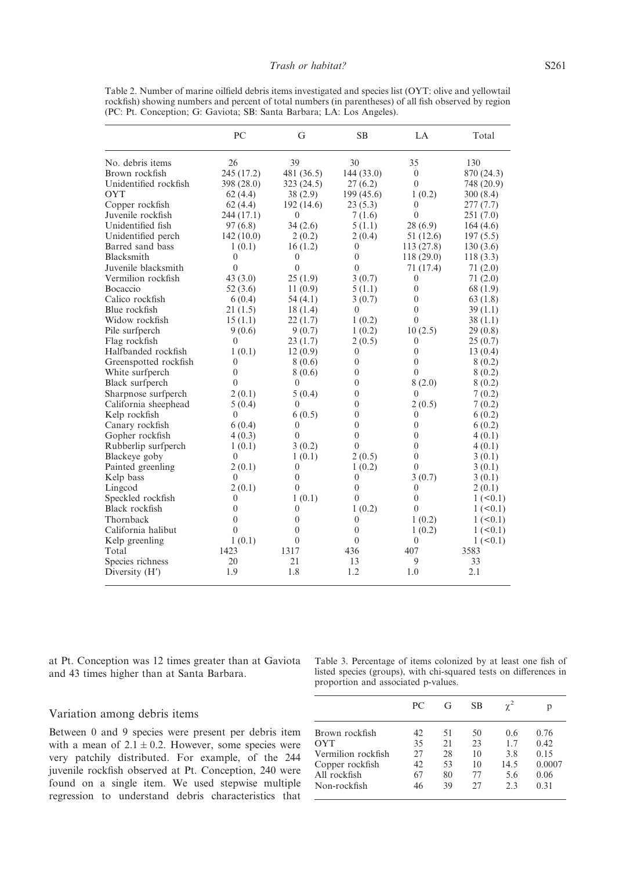|                       | PC           | G              | <b>SB</b>      | LA             | Total      |
|-----------------------|--------------|----------------|----------------|----------------|------------|
| No. debris items      | 26           | 39             | 30             | 35             | 130        |
| Brown rockfish        | 245 (17.2)   | 481 (36.5)     | 144(33.0)      | $\Omega$       | 870 (24.3) |
| Unidentified rockfish | 398 (28.0)   | 323 (24.5)     | 27(6.2)        | $\overline{0}$ | 748 (20.9) |
| <b>OYT</b>            | 62(4.4)      | 38(2.9)        | 199(45.6)      | 1(0.2)         | 300(8.4)   |
| Copper rockfish       | 62(4.4)      | 192 (14.6)     | 23 (5.3)       | $\theta$       | 277(7.7)   |
| Juvenile rockfish     | 244 (17.1)   | $\overline{0}$ | 7 (1.6)        | $\mathbf{0}$   | 251(7.0)   |
| Unidentified fish     | 97(6.8)      | 34(2.6)        | 5(1.1)         | 28(6.9)        | 164(4.6)   |
| Unidentified perch    | 142(10.0)    | 2(0.2)         | 2 (0.4)        | 51 (12.6)      | 197(5.5)   |
| Barred sand bass      | 1(0.1)       | 16 (1.2)       | $\mathbf{0}$   | 113(27.8)      | 130(3.6)   |
| Blacksmith            | $\mathbf{0}$ | $\mathbf{0}$   | $\mathbf{0}$   | 118(29.0)      | 118(3.3)   |
| Juvenile blacksmith   | $\theta$     | $\mathbf{0}$   | $\mathbf{0}$   | 71 (17.4)      | 71(2.0)    |
| Vermilion rockfish    | 43(3.0)      | 25(1.9)        | 3(0.7)         | 0              | 71 (2.0)   |
| Bocaccio              | 52 (3.6)     | 11(0.9)        | 5 (1.1)        | $\theta$       | 68 (1.9)   |
| Calico rockfish       | 6(0.4)       | 54 (4.1)       | 3(0.7)         | $\theta$       | 63(1.8)    |
| Blue rockfish         | 21 (1.5)     | 18 (1.4)       | $\mathbf{0}$   | $\mathbf{0}$   | 39 (1.1)   |
| Widow rockfish        | 15(1.1)      | 22 (1.7)       | 1(0.2)         | $\mathbf{0}$   | 38(1.1)    |
| Pile surfperch        | 9(0.6)       | 9(0.7)         | 1(0.2)         | 10(2.5)        | 29(0.8)    |
| Flag rockfish         | $\theta$     | 23(1.7)        | 2(0.5)         | $\mathbf{0}$   | 25(0.7)    |
| Halfbanded rockfish   | 1(0.1)       | 12(0.9)        | $\mathbf{0}$   | $\theta$       | 13(0.4)    |
| Greenspotted rockfish | 0            | 8(0.6)         | $\overline{0}$ | $\overline{0}$ | 8(0.2)     |
| White surfperch       | $\theta$     | 8 (0.6)        | $\theta$       | $\theta$       | 8(0.2)     |
| Black surfperch       | $\theta$     | $\theta$       | $\theta$       | 8(2.0)         | 8(0.2)     |
| Sharpnose surfperch   | 2(0.1)       | 5(0.4)         | $\theta$       | $\Omega$       | 7(0.2)     |
| California sheephead  | 5(0.4)       | $\mathbf{0}$   | $\theta$       | 2(0.5)         | 7(0.2)     |
| Kelp rockfish         | $\mathbf{0}$ | 6(0.5)         | $\mathbf{0}$   | $\mathbf{0}$   | 6(0.2)     |
| Canary rockfish       | 6(0.4)       | $\mathbf{0}$   | $\overline{0}$ | $\theta$       | 6(0.2)     |
| Gopher rockfish       | 4(0.3)       | $\mathbf{0}$   | $\overline{0}$ | $\theta$       | 4(0.1)     |
| Rubberlip surfperch   | 1(0.1)       | 3(0.2)         | $\mathbf{0}$   | $\theta$       | 4(0.1)     |
| Blackeye goby         | $\theta$     | 1(0.1)         | 2(0.5)         | $\theta$       | 3(0.1)     |
| Painted greenling     | 2(0.1)       | $\mathbf{0}$   | 1(0.2)         | $\theta$       | 3(0.1)     |
| Kelp bass             | $\mathbf{0}$ | $\mathbf{0}$   | $\mathbf{0}$   | 3(0.7)         | 3(0.1)     |
| Lingcod               | 2(0.1)       | $\theta$       | $\mathbf{0}$   | $\overline{0}$ | 2(0.1)     |
| Speckled rockfish     | 0            | 1(0.1)         | $\theta$       | $\overline{0}$ | $1(-0.1)$  |
| Black rockfish        | $\theta$     | $\Omega$       | 1(0.2)         | $\theta$       | $1(-0.1)$  |
| Thornback             | $\theta$     | $\Omega$       | $\overline{0}$ | 1(0.2)         | $1 (-0.1)$ |
| California halibut    | $\theta$     | $\theta$       | $\mathbf{0}$   | 1(0.2)         | $1(-0.1)$  |
| Kelp greenling        | 1(0.1)       | $\Omega$       | $\Omega$       | $\theta$       | $1(-0.1)$  |
| Total                 | 1423         | 1317           | 436            | 407            | 3583       |
| Species richness      | 20           | 21             | 13             | 9              | 33         |
| Diversity (H')        | 1.9          | 1.8            | 1.2            | 1.0            | 2.1        |

<span id="page-3-0"></span>Table 2. Number of marine oilfield debris items investigated and species list (OYT: olive and yellowtail rockfish) showing numbers and percent of total numbers (in parentheses) of all fish observed by region (PC: Pt. Conception; G: Gaviota; SB: Santa Barbara; LA: Los Angeles).

at Pt. Conception was 12 times greater than at Gaviota and 43 times higher than at Santa Barbara.

<span id="page-3-1"></span>Table 3. Percentage of items colonized by at least one fish of listed species (groups), with chi-squared tests on differences in proportion and associated p-values.

#### Variation among debris items

Between 0 and 9 species were present per debris item with a mean of  $2.1 \pm 0.2$ . However, some species were very patchily distributed. For example, of the 244 juvenile rockfish observed at Pt. Conception, 240 were found on a single item. We used stepwise multiple regression to understand debris characteristics that

|                    | PС | G  | SВ | $\gamma^2$ | р      |
|--------------------|----|----|----|------------|--------|
| Brown rockfish     | 42 | 51 | 50 | 0.6        | 0.76   |
| OYT                | 35 | 21 | 23 | 1.7        | 0.42   |
| Vermilion rockfish | 27 | 28 | 10 | 3.8        | 0.15   |
| Copper rockfish    | 42 | 53 | 10 | 14.5       | 0.0007 |
| All rockfish       | 67 | 80 | 77 | 5.6        | 0.06   |
| Non-rockfish       | 46 | 39 | 27 | 2.3        | 0.31   |
|                    |    |    |    |            |        |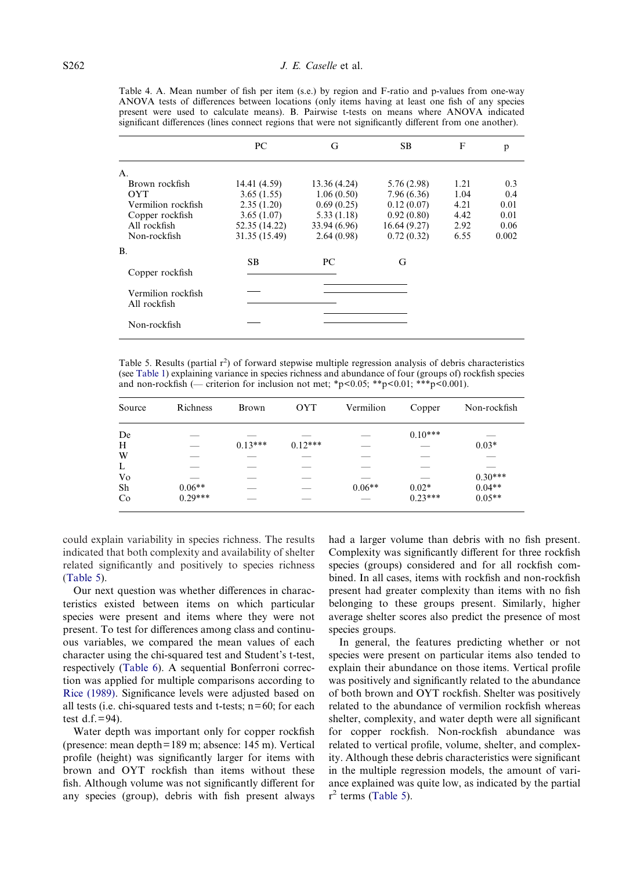<span id="page-4-0"></span>Table 4. A. Mean number of fish per item (s.e.) by region and F-ratio and p-values from one-way ANOVA tests of differences between locations (only items having at least one fish of any species present were used to calculate means). B. Pairwise t-tests on means where ANOVA indicated significant differences (lines connect regions that were not significantly different from one another).

|                    | PC            | G            | <b>SB</b>   | F    | p     |
|--------------------|---------------|--------------|-------------|------|-------|
| $\mathsf{A}$ .     |               |              |             |      |       |
| Brown rockfish     | 14.41 (4.59)  | 13.36 (4.24) | 5.76(2.98)  | 1.21 | 0.3   |
| OYT                | 3.65(1.55)    | 1.06(0.50)   | 7.96(6.36)  | 1.04 | 0.4   |
| Vermilion rockfish | 2.35(1.20)    | 0.69(0.25)   | 0.12(0.07)  | 4.21 | 0.01  |
| Copper rockfish    | 3.65(1.07)    | 5.33(1.18)   | 0.92(0.80)  | 4.42 | 0.01  |
| All rockfish       | 52.35 (14.22) | 33.94 (6.96) | 16.64(9.27) | 2.92 | 0.06  |
| Non-rockfish       | 31.35 (15.49) | 2.64(0.98)   | 0.72(0.32)  | 6.55 | 0.002 |
| <b>B.</b>          |               |              |             |      |       |
|                    | SВ            | PС           | G           |      |       |
| Copper rockfish    |               |              |             |      |       |
| Vermilion rockfish |               |              |             |      |       |
| All rockfish       |               |              |             |      |       |
| Non-rockfish       |               |              |             |      |       |

<span id="page-4-1"></span>Table 5. Results (partial  $r^2$ ) of forward stepwise multiple regression analysis of debris characteristics (see [Table 1](#page-2-0)) explaining variance in species richness and abundance of four (groups of) rockfish species and non-rockfish (— criterion for inclusion not met; \*p<0.05; \*\*p<0.01; \*\*\*p<0.001).

| Source | Richness  | Brown     | OYT       | Vermilion | Copper                   | Non-rockfish             |
|--------|-----------|-----------|-----------|-----------|--------------------------|--------------------------|
| De     | _         |           |           | _         | $0.10***$                | _                        |
| Н      | $\cdots$  | $0.13***$ | $0.12***$ | $\cdots$  |                          | $0.03*$                  |
| W      | _         | _         | ___       | _         | $\overline{\phantom{a}}$ | _                        |
| L      | _         | _         | _         | _         | $\overline{\phantom{a}}$ | $\overline{\phantom{a}}$ |
| Vo     | $\cdots$  |           |           | $\cdots$  |                          | $0.30***$                |
| Sh     | $0.06**$  | __        | _         | $0.06**$  | $0.02*$                  | $0.04**$                 |
| Co     | $0.29***$ | _         | ___       |           | $0.23***$                | $0.05**$                 |

could explain variability in species richness. The results indicated that both complexity and availability of shelter related significantly and positively to species richness [\(Table 5\)](#page-4-1).

Our next question was whether differences in characteristics existed between items on which particular species were present and items where they were not present. To test for differences among class and continuous variables, we compared the mean values of each character using the chi-squared test and Student's t-test, respectively [\(Table 6\)](#page-5-0). A sequential Bonferroni correction was applied for multiple comparisons according to [Rice \(1989\).](#page-7-4) Significance levels were adjusted based on all tests (i.e. chi-squared tests and t-tests; n=60; for each test d.f.  $= 94$ ).

Water depth was important only for copper rockfish (presence: mean depth=189 m; absence: 145 m). Vertical profile (height) was significantly larger for items with brown and OYT rockfish than items without these fish. Although volume was not significantly different for any species (group), debris with fish present always had a larger volume than debris with no fish present. Complexity was significantly different for three rockfish species (groups) considered and for all rockfish combined. In all cases, items with rockfish and non-rockfish present had greater complexity than items with no fish belonging to these groups present. Similarly, higher average shelter scores also predict the presence of most species groups.

In general, the features predicting whether or not species were present on particular items also tended to explain their abundance on those items. Vertical profile was positively and significantly related to the abundance of both brown and OYT rockfish. Shelter was positively related to the abundance of vermilion rockfish whereas shelter, complexity, and water depth were all significant for copper rockfish. Non-rockfish abundance was related to vertical profile, volume, shelter, and complexity. Although these debris characteristics were significant in the multiple regression models, the amount of variance explained was quite low, as indicated by the partial r <sup>2</sup> terms [\(Table 5\)](#page-4-1).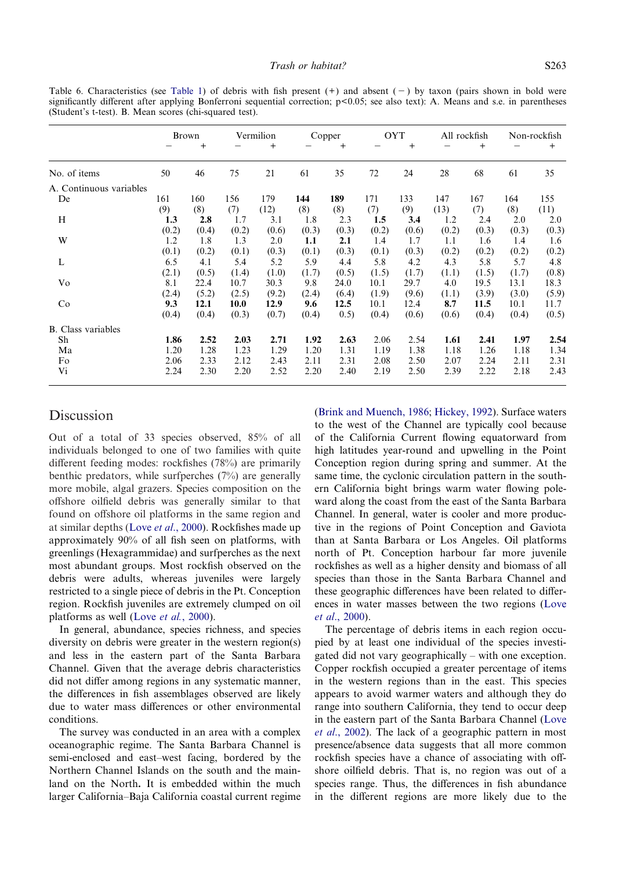<span id="page-5-0"></span>Table 6. Characteristics (see [Table 1](#page-2-0)) of debris with fish present  $(+)$  and absent  $(-)$  by taxon (pairs shown in bold were significantly different after applying Bonferroni sequential correction; p<0.05; see also text); A. Means and s.e. in parentheses (Student's t-test). B. Mean scores (chi-squared test).

|                           | Brown                 |                        | Vermilion              |                        | Copper                |                        | <b>OYT</b>             |                        | All rockfish          |                        | Non-rockfish           |                        |
|---------------------------|-----------------------|------------------------|------------------------|------------------------|-----------------------|------------------------|------------------------|------------------------|-----------------------|------------------------|------------------------|------------------------|
|                           |                       | $^{+}$                 |                        | $^{+}$                 |                       | $^{+}$                 |                        | $^{+}$                 |                       | $^{+}$                 |                        | $+$                    |
| No. of items              | 50                    | 46                     | 75                     | 21                     | 61                    | 35                     | 72                     | 24                     | 28                    | 68                     | 61                     | 35                     |
| A. Continuous variables   |                       |                        |                        |                        |                       |                        |                        |                        |                       |                        |                        |                        |
| De                        | 161<br>(9)            | 160<br>(8)             | 156<br>(7)             | 179<br>(12)            | 144<br>(8)            | 189<br>(8)             | 171<br>(7)             | 133<br>(9)             | 147<br>(13)           | 167<br>(7)             | 164<br>(8)             | 155<br>(11)            |
| H                         | 1.3<br>(0.2)          | 2.8<br>(0.4)           | 1.7<br>(0.2)           | 3.1<br>(0.6)           | 1.8<br>(0.3)          | 2.3<br>(0.3)           | 1.5<br>(0.2)           | 3.4<br>(0.6)           | 1.2<br>(0.2)          | 2.4<br>(0.3)           | 2.0<br>(0.3)           | 2.0<br>(0.3)           |
| W                         | 1.2                   | 1.8                    | 1.3                    | 2.0                    | 1.1                   | 2.1                    | 1.4                    | 1.7                    | 1.1                   | 1.6                    | 1.4                    | 1.6                    |
| L                         | (0.1)<br>6.5          | (0.2)<br>4.1           | (0.1)<br>5.4           | (0.3)<br>5.2           | (0.1)<br>5.9          | (0.3)<br>4.4           | (0.1)<br>5.8           | (0.3)<br>4.2           | (0.2)<br>4.3          | (0.2)<br>5.8           | (0.2)<br>5.7           | (0.2)<br>4.8           |
| Vo                        | (2.1)<br>8.1          | (0.5)<br>22.4          | (1.4)<br>10.7          | (1.0)<br>30.3          | (1.7)<br>9.8          | (0.5)<br>24.0          | (1.5)<br>10.1          | (1.7)<br>29.7          | (1.1)<br>4.0          | (1.5)<br>19.5          | (1.7)<br>13.1          | (0.8)<br>18.3          |
| Co                        | (2.4)<br>9.3<br>(0.4) | (5.2)<br>12.1<br>(0.4) | (2.5)<br>10.0<br>(0.3) | (9.2)<br>12.9<br>(0.7) | (2.4)<br>9.6<br>(0.4) | (6.4)<br>12.5<br>(0.5) | (1.9)<br>10.1<br>(0.4) | (9.6)<br>12.4<br>(0.6) | (1.1)<br>8.7<br>(0.6) | (3.9)<br>11.5<br>(0.4) | (3.0)<br>10.1<br>(0.4) | (5.9)<br>11.7<br>(0.5) |
| <b>B.</b> Class variables |                       |                        |                        |                        |                       |                        |                        |                        |                       |                        |                        |                        |
| Sh                        | 1.86                  | 2.52                   | 2.03                   | 2.71                   | 1.92                  | 2.63                   | 2.06                   | 2.54                   | 1.61                  | 2.41                   | 1.97                   | 2.54                   |
| Ma                        | 1.20                  | 1.28                   | 1.23                   | 1.29                   | 1.20                  | 1.31                   | 1.19                   | 1.38                   | 1.18                  | 1.26                   | 1.18                   | 1.34                   |
| Fo                        | 2.06                  | 2.33                   | 2.12                   | 2.43                   | 2.11                  | 2.31                   | 2.08                   | 2.50                   | 2.07                  | 2.24                   | 2.11                   | 2.31                   |
| Vi                        | 2.24                  | 2.30                   | 2.20                   | 2.52                   | 2.20                  | 2.40                   | 2.19                   | 2.50                   | 2.39                  | 2.22                   | 2.18                   | 2.43                   |

## Discussion

Out of a total of 33 species observed, 85% of all individuals belonged to one of two families with quite different feeding modes: rockfishes (78%) are primarily benthic predators, while surfperches (7%) are generally more mobile, algal grazers. Species composition on the offshore oilfield debris was generally similar to that found on offshore oil platforms in the same region and at similar depths (Love *et al*[., 2000\)](#page-7-1). Rockfishes made up approximately 90% of all fish seen on platforms, with greenlings (Hexagrammidae) and surfperches as the next most abundant groups. Most rockfish observed on the debris were adults, whereas juveniles were largely restricted to a single piece of debris in the Pt. Conception region. Rockfish juveniles are extremely clumped on oil platforms as well (Love *et al.*[, 2000\)](#page-7-1).

In general, abundance, species richness, and species diversity on debris were greater in the western region(s) and less in the eastern part of the Santa Barbara Channel. Given that the average debris characteristics did not differ among regions in any systematic manner, the differences in fish assemblages observed are likely due to water mass differences or other environmental conditions.

The survey was conducted in an area with a complex oceanographic regime. The Santa Barbara Channel is semi-enclosed and east–west facing, bordered by the Northern Channel Islands on the south and the mainland on the North**.** It is embedded within the much larger California–Baja California coastal current regime [\(Brink and Muench, 1986;](#page-6-6) [Hickey, 1992\)](#page-7-5). Surface waters to the west of the Channel are typically cool because of the California Current flowing equatorward from high latitudes year-round and upwelling in the Point Conception region during spring and summer. At the same time, the cyclonic circulation pattern in the southern California bight brings warm water flowing poleward along the coast from the east of the Santa Barbara Channel. In general, water is cooler and more productive in the regions of Point Conception and Gaviota than at Santa Barbara or Los Angeles. Oil platforms north of Pt. Conception harbour far more juvenile rockfishes as well as a higher density and biomass of all species than those in the Santa Barbara Channel and these geographic differences have been related to differences in water masses between the two regions [\(Love](#page-7-1) *et al*[., 2000\)](#page-7-1).

The percentage of debris items in each region occupied by at least one individual of the species investigated did not vary geographically – with one exception. Copper rockfish occupied a greater percentage of items in the western regions than in the east. This species appears to avoid warmer waters and although they do range into southern California, they tend to occur deep in the eastern part of the Santa Barbara Channel [\(Love](#page-7-6) *et al*[., 2002\)](#page-7-6). The lack of a geographic pattern in most presence/absence data suggests that all more common rockfish species have a chance of associating with offshore oilfield debris. That is, no region was out of a species range. Thus, the differences in fish abundance in the different regions are more likely due to the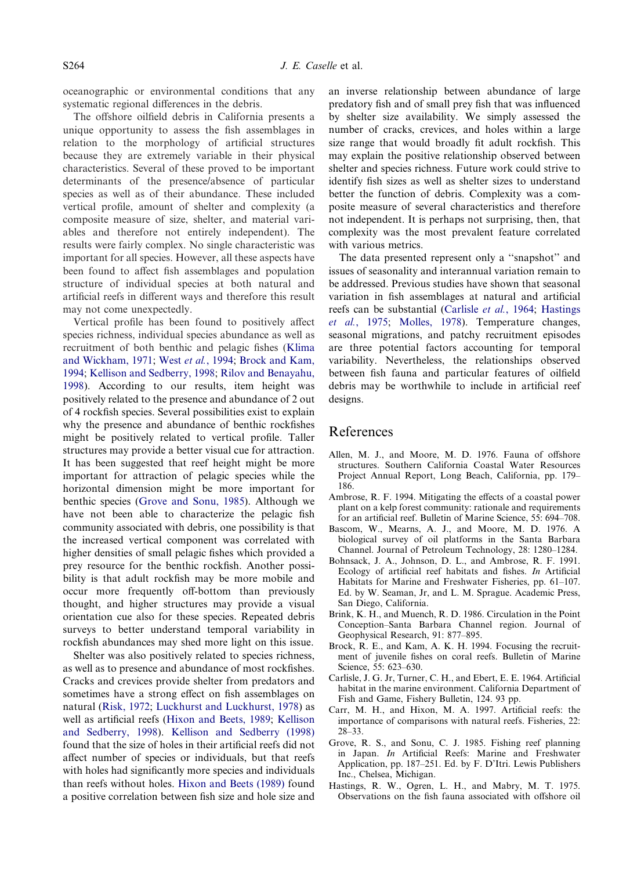oceanographic or environmental conditions that any systematic regional differences in the debris.

The offshore oilfield debris in California presents a unique opportunity to assess the fish assemblages in relation to the morphology of artificial structures because they are extremely variable in their physical characteristics. Several of these proved to be important determinants of the presence/absence of particular species as well as of their abundance. These included vertical profile, amount of shelter and complexity (a composite measure of size, shelter, and material variables and therefore not entirely independent). The results were fairly complex. No single characteristic was important for all species. However, all these aspects have been found to affect fish assemblages and population structure of individual species at both natural and artificial reefs in different ways and therefore this result may not come unexpectedly.

Vertical profile has been found to positively affect species richness, individual species abundance as well as recruitment of both benthic and pelagic fishes [\(Klima](#page-7-7) [and Wickham, 1971;](#page-7-7) West *et al.*[, 1994;](#page-7-8) [Brock and Kam,](#page-6-7) [1994;](#page-6-7) [Kellison and Sedberry, 1998;](#page-7-9) [Rilov and Benayahu,](#page-7-10) [1998\)](#page-7-10). According to our results, item height was positively related to the presence and abundance of 2 out of 4 rockfish species. Several possibilities exist to explain why the presence and abundance of benthic rockfishes might be positively related to vertical profile. Taller structures may provide a better visual cue for attraction. It has been suggested that reef height might be more important for attraction of pelagic species while the horizontal dimension might be more important for benthic species [\(Grove and Sonu, 1985\)](#page-6-8). Although we have not been able to characterize the pelagic fish community associated with debris, one possibility is that the increased vertical component was correlated with higher densities of small pelagic fishes which provided a prey resource for the benthic rockfish. Another possibility is that adult rockfish may be more mobile and occur more frequently off-bottom than previously thought, and higher structures may provide a visual orientation cue also for these species. Repeated debris surveys to better understand temporal variability in rockfish abundances may shed more light on this issue.

Shelter was also positively related to species richness, as well as to presence and abundance of most rockfishes. Cracks and crevices provide shelter from predators and sometimes have a strong effect on fish assemblages on natural [\(Risk, 1972;](#page-7-11) [Luckhurst and Luckhurst, 1978\)](#page-7-12) as well as artificial reefs [\(Hixon and Beets, 1989;](#page-7-13) [Kellison](#page-7-9) [and Sedberry, 1998\)](#page-7-9). [Kellison and Sedberry \(1998\)](#page-7-9) found that the size of holes in their artificial reefs did not affect number of species or individuals, but that reefs with holes had significantly more species and individuals than reefs without holes. [Hixon and Beets \(1989\)](#page-7-13) found a positive correlation between fish size and hole size and

an inverse relationship between abundance of large predatory fish and of small prey fish that was influenced by shelter size availability. We simply assessed the number of cracks, crevices, and holes within a large size range that would broadly fit adult rockfish. This may explain the positive relationship observed between shelter and species richness. Future work could strive to identify fish sizes as well as shelter sizes to understand better the function of debris. Complexity was a composite measure of several characteristics and therefore not independent. It is perhaps not surprising, then, that complexity was the most prevalent feature correlated with various metrics.

The data presented represent only a ''snapshot'' and issues of seasonality and interannual variation remain to be addressed. Previous studies have shown that seasonal variation in fish assemblages at natural and artificial reefs can be substantial [\(Carlisle](#page-6-2) *et al.*, 1964; [Hastings](#page-6-9) *et al.*[, 1975;](#page-6-9) [Molles, 1978\)](#page-7-14). Temperature changes, seasonal migrations, and patchy recruitment episodes are three potential factors accounting for temporal variability. Nevertheless, the relationships observed between fish fauna and particular features of oilfield debris may be worthwhile to include in artificial reef designs.

### References

- <span id="page-6-3"></span>Allen, M. J., and Moore, M. D. 1976. Fauna of offshore structures. Southern California Coastal Water Resources Project Annual Report, Long Beach, California, pp. 179– 186.
- <span id="page-6-1"></span>Ambrose, R. F. 1994. Mitigating the effects of a coastal power plant on a kelp forest community: rationale and requirements for an artificial reef. Bulletin of Marine Science, 55: 694–708.
- <span id="page-6-4"></span>Bascom, W., Mearns, A. J., and Moore, M. D. 1976. A biological survey of oil platforms in the Santa Barbara Channel. Journal of Petroleum Technology, 28: 1280–1284.
- <span id="page-6-0"></span>Bohnsack, J. A., Johnson, D. L., and Ambrose, R. F. 1991. Ecology of artificial reef habitats and fishes. *In* Artificial Habitats for Marine and Freshwater Fisheries, pp. 61–107. Ed. by W. Seaman, Jr, and L. M. Sprague. Academic Press, San Diego, California.
- <span id="page-6-6"></span>Brink, K. H., and Muench, R. D. 1986. Circulation in the Point Conception–Santa Barbara Channel region. Journal of Geophysical Research, 91: 877–895.
- <span id="page-6-7"></span>Brock, R. E., and Kam, A. K. H. 1994. Focusing the recruitment of juvenile fishes on coral reefs. Bulletin of Marine Science, 55: 623–630.
- <span id="page-6-2"></span>Carlisle, J. G. Jr, Turner, C. H., and Ebert, E. E. 1964. Artificial habitat in the marine environment. California Department of Fish and Game, Fishery Bulletin, 124. 93 pp.
- <span id="page-6-5"></span>Carr, M. H., and Hixon, M. A. 1997. Artificial reefs: the importance of comparisons with natural reefs. Fisheries, 22: 28–33.
- <span id="page-6-8"></span>Grove, R. S., and Sonu, C. J. 1985. Fishing reef planning in Japan. *In* Artificial Reefs: Marine and Freshwater Application, pp. 187–251. Ed. by F. D'Itri. Lewis Publishers Inc., Chelsea, Michigan.
- <span id="page-6-9"></span>Hastings, R. W., Ogren, L. H., and Mabry, M. T. 1975. Observations on the fish fauna associated with offshore oil